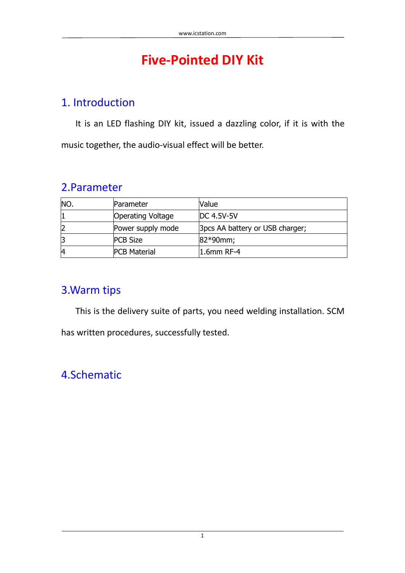# **[Five-Pointed](http://112.74.66.161/ICNEW/index.php/Purchase/index/webItemId/12489) DIY Kit**

### 1. Introduction

It is an LED flashing DIY kit, issued a dazzling color, if it is with the music together, the audio-visual effect will be better.

### 2.Parameter

| INO. | Parameter           | Value                           |
|------|---------------------|---------------------------------|
|      | Operating Voltage   | <b>DC 4.5V-5V</b>               |
|      | Power supply mode   | 3pcs AA battery or USB charger; |
|      | <b>PCB Size</b>     | $ 82*90$ mm;                    |
| 14   | <b>PCB Material</b> | $1.6$ mm RF-4                   |

## 3.Warm tips

This is the delivery suite of parts, you need welding installation. SCM

has written procedures, successfully tested.

# 4.Schematic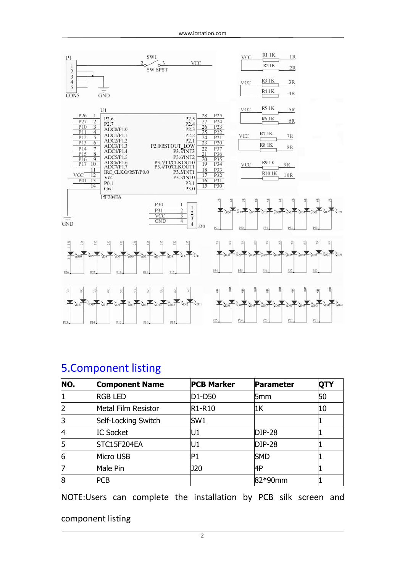

### 5.Component listing

| NO. | <b>Component Name</b> | <b>PCB Marker</b> | Parameter       | <b>QTY</b> |
|-----|-----------------------|-------------------|-----------------|------------|
|     | <b>RGB LED</b>        | $D1-D50$          | 5 <sub>mm</sub> | 50         |
| 2   | Metal Film Resistor   | $R1-R10$          | 1 <sup>K</sup>  | 10         |
| 3   | Self-Locking Switch   | SW <sub>1</sub>   |                 |            |
| 14  | <b>IC Socket</b>      | U1                | $DIP-28$        |            |
| 5   | STC15F204EA           | U1                | $DIP-28$        |            |
| 6   | Micro USB             | IP1               | <b>SMD</b>      |            |
| 7   | Male Pin              | J20               | 4P              |            |
| 8   | PCB                   |                   | 82*90mm         |            |

NOTE:Users can complete the installation by PCB silk screen and

#### component listing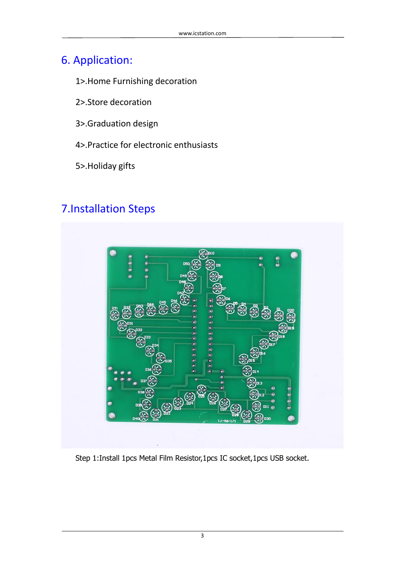# 6. Application:

### 1>.Home Furnishing decoration

- 2>.Store decoration
- 3>.Graduation design
- 4>.Practice for electronic enthusiasts
- 5>.Holiday gifts

# 7.Installation Steps



Step 1:Install 1pcs Metal Film Resistor,1pcs IC socket,1pcs USB socket.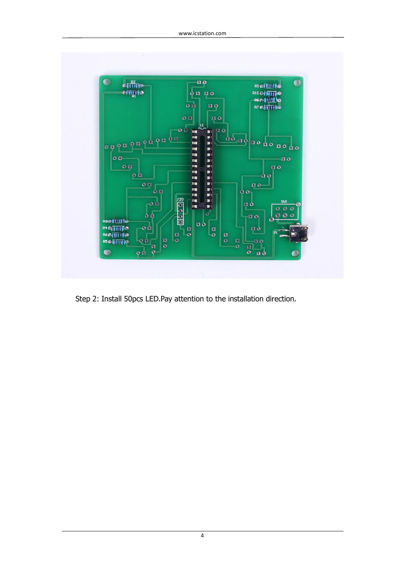

Step 2: Install 50pcs LED.Pay attention to the installation direction.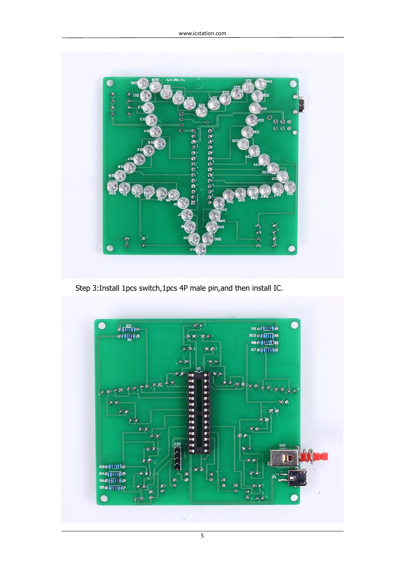

Step 3:Install 1pcs switch,1pcs 4P male pin,and then install IC.



5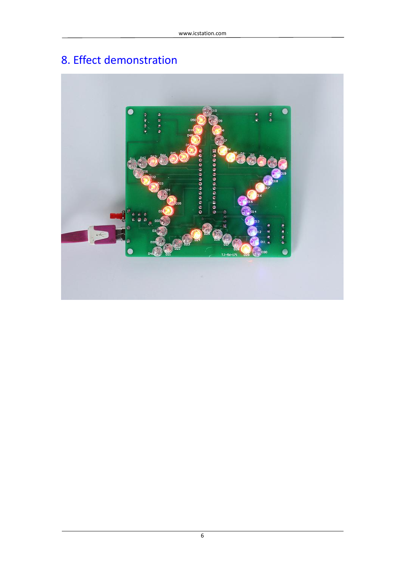# 8. Effect demonstration